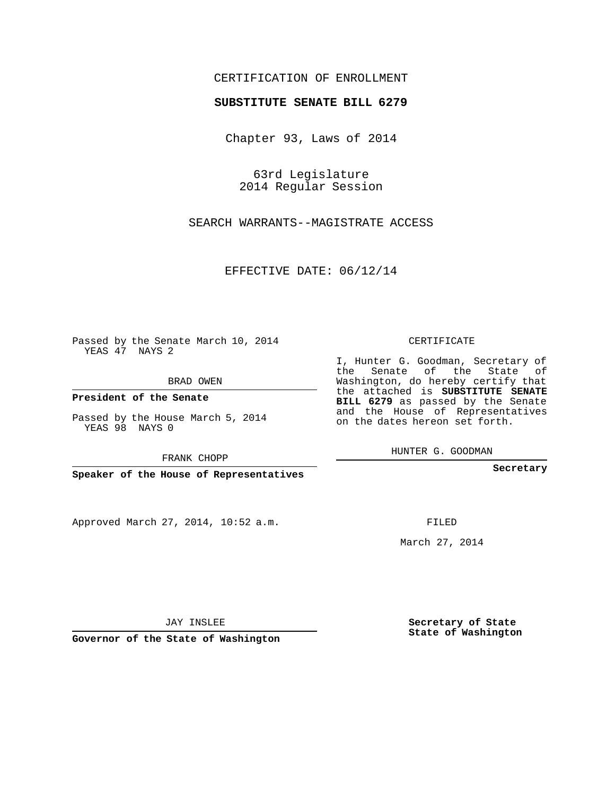## CERTIFICATION OF ENROLLMENT

## **SUBSTITUTE SENATE BILL 6279**

Chapter 93, Laws of 2014

63rd Legislature 2014 Regular Session

SEARCH WARRANTS--MAGISTRATE ACCESS

EFFECTIVE DATE: 06/12/14

Passed by the Senate March 10, 2014 YEAS 47 NAYS 2

BRAD OWEN

**President of the Senate**

Passed by the House March 5, 2014 YEAS 98 NAYS 0

FRANK CHOPP

**Speaker of the House of Representatives**

Approved March 27, 2014, 10:52 a.m.

CERTIFICATE

I, Hunter G. Goodman, Secretary of the Senate of the State of Washington, do hereby certify that the attached is **SUBSTITUTE SENATE BILL 6279** as passed by the Senate and the House of Representatives on the dates hereon set forth.

HUNTER G. GOODMAN

**Secretary**

FILED

March 27, 2014

**Secretary of State State of Washington**

JAY INSLEE

**Governor of the State of Washington**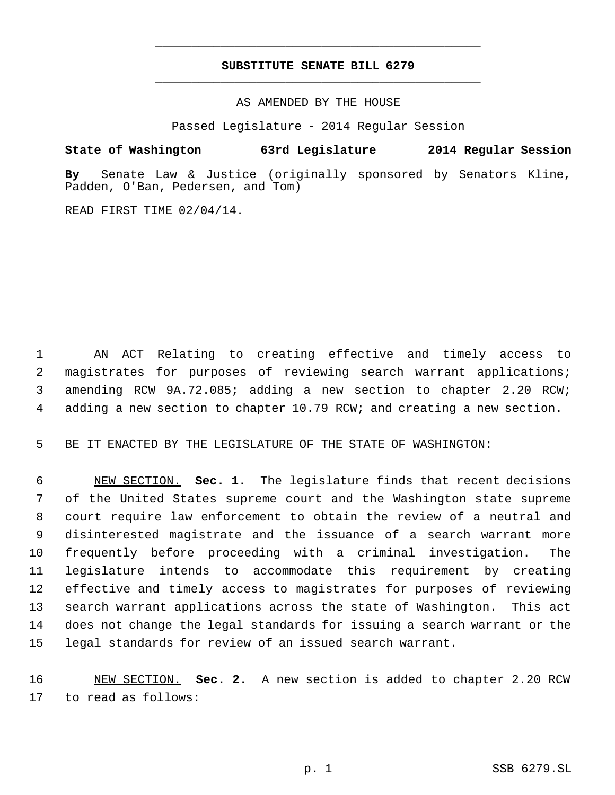## **SUBSTITUTE SENATE BILL 6279** \_\_\_\_\_\_\_\_\_\_\_\_\_\_\_\_\_\_\_\_\_\_\_\_\_\_\_\_\_\_\_\_\_\_\_\_\_\_\_\_\_\_\_\_\_

\_\_\_\_\_\_\_\_\_\_\_\_\_\_\_\_\_\_\_\_\_\_\_\_\_\_\_\_\_\_\_\_\_\_\_\_\_\_\_\_\_\_\_\_\_

AS AMENDED BY THE HOUSE

Passed Legislature - 2014 Regular Session

## **State of Washington 63rd Legislature 2014 Regular Session**

**By** Senate Law & Justice (originally sponsored by Senators Kline, Padden, O'Ban, Pedersen, and Tom)

READ FIRST TIME 02/04/14.

 AN ACT Relating to creating effective and timely access to magistrates for purposes of reviewing search warrant applications; amending RCW 9A.72.085; adding a new section to chapter 2.20 RCW; adding a new section to chapter 10.79 RCW; and creating a new section.

BE IT ENACTED BY THE LEGISLATURE OF THE STATE OF WASHINGTON:

 NEW SECTION. **Sec. 1.** The legislature finds that recent decisions of the United States supreme court and the Washington state supreme court require law enforcement to obtain the review of a neutral and disinterested magistrate and the issuance of a search warrant more frequently before proceeding with a criminal investigation. The legislature intends to accommodate this requirement by creating effective and timely access to magistrates for purposes of reviewing search warrant applications across the state of Washington. This act does not change the legal standards for issuing a search warrant or the legal standards for review of an issued search warrant.

 NEW SECTION. **Sec. 2.** A new section is added to chapter 2.20 RCW to read as follows: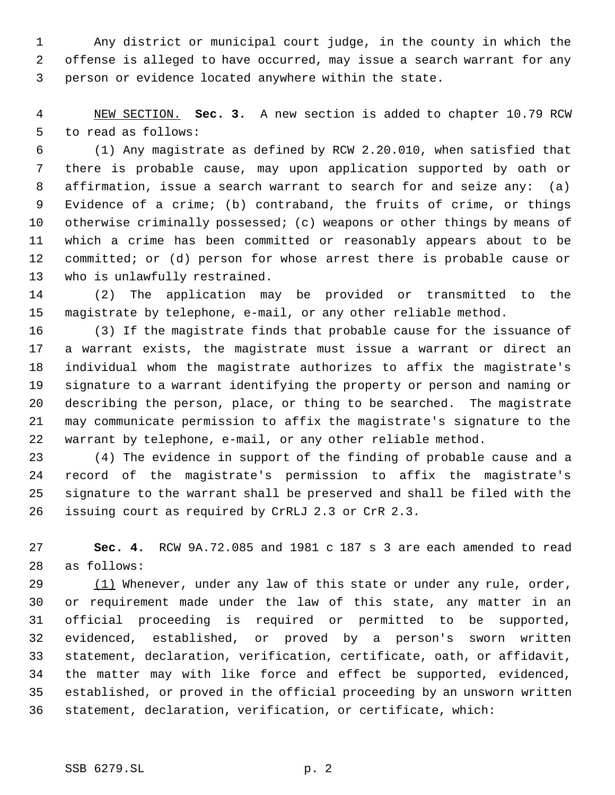Any district or municipal court judge, in the county in which the offense is alleged to have occurred, may issue a search warrant for any person or evidence located anywhere within the state.

 NEW SECTION. **Sec. 3.** A new section is added to chapter 10.79 RCW to read as follows:

 (1) Any magistrate as defined by RCW 2.20.010, when satisfied that there is probable cause, may upon application supported by oath or affirmation, issue a search warrant to search for and seize any: (a) Evidence of a crime; (b) contraband, the fruits of crime, or things otherwise criminally possessed; (c) weapons or other things by means of which a crime has been committed or reasonably appears about to be committed; or (d) person for whose arrest there is probable cause or who is unlawfully restrained.

 (2) The application may be provided or transmitted to the magistrate by telephone, e-mail, or any other reliable method.

 (3) If the magistrate finds that probable cause for the issuance of a warrant exists, the magistrate must issue a warrant or direct an individual whom the magistrate authorizes to affix the magistrate's signature to a warrant identifying the property or person and naming or describing the person, place, or thing to be searched. The magistrate may communicate permission to affix the magistrate's signature to the warrant by telephone, e-mail, or any other reliable method.

 (4) The evidence in support of the finding of probable cause and a record of the magistrate's permission to affix the magistrate's signature to the warrant shall be preserved and shall be filed with the issuing court as required by CrRLJ 2.3 or CrR 2.3.

 **Sec. 4.** RCW 9A.72.085 and 1981 c 187 s 3 are each amended to read as follows:

 $(1)$  Whenever, under any law of this state or under any rule, order, or requirement made under the law of this state, any matter in an official proceeding is required or permitted to be supported, evidenced, established, or proved by a person's sworn written statement, declaration, verification, certificate, oath, or affidavit, the matter may with like force and effect be supported, evidenced, established, or proved in the official proceeding by an unsworn written statement, declaration, verification, or certificate, which: